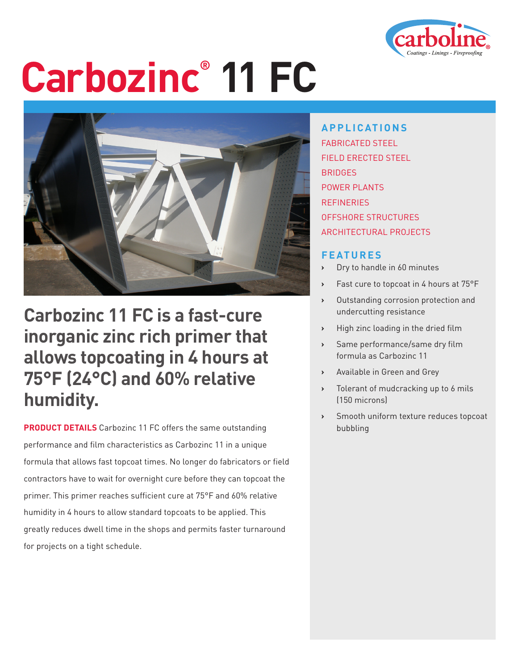

# **Carbozinc® 11 FC**



### **Carbozinc 11 FC is a fast-cure inorganic zinc rich primer that allows topcoating in 4 hours at 75°F (24°C) and 60% relative humidity.**

**PRODUCT DETAILS** Carbozinc 11 FC offers the same outstanding performance and film characteristics as Carbozinc 11 in a unique formula that allows fast topcoat times. No longer do fabricators or field contractors have to wait for overnight cure before they can topcoat the primer. This primer reaches sufficient cure at 75°F and 60% relative humidity in 4 hours to allow standard topcoats to be applied. This greatly reduces dwell time in the shops and permits faster turnaround for projects on a tight schedule.

**APPLICATIONS** FABRICATED STEEL FIELD ERECTED STEEL BRIDGES POWER PLANTS **REFINERIES** OFFSHORE STRUCTURES ARCHITECTURAL PROJECTS

#### **FEATURES**

- **›** Dry to handle in 60 minutes
- **›** Fast cure to topcoat in 4 hours at 75°F
- **›** Outstanding corrosion protection and undercutting resistance
- **›** High zinc loading in the dried film
- **›** Same performance/same dry film formula as Carbozinc 11
- **›** Available in Green and Grey
- **›** Tolerant of mudcracking up to 6 mils (150 microns)
- **›** Smooth uniform texture reduces topcoat bubbling